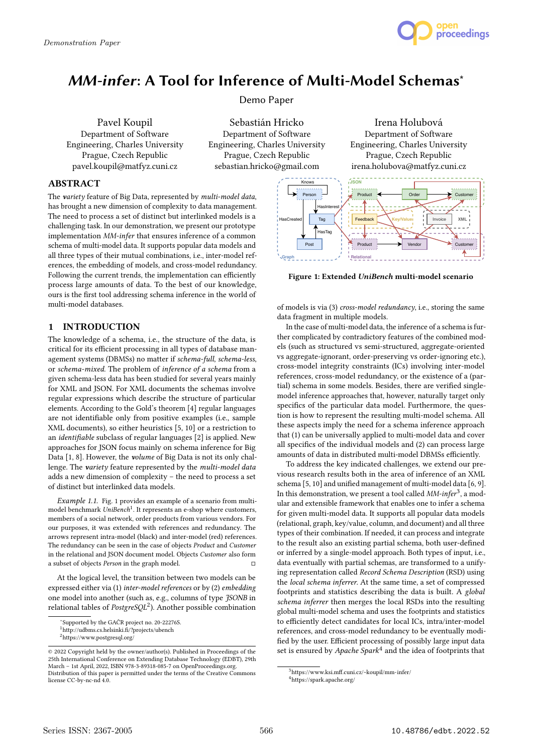

# MM-infer: A Tool for Inference of Multi-Model Schemas<sup>\*</sup>

Demo Paper

Pavel Koupil Department of Software Engineering, Charles University Prague, Czech Republic pavel.koupil@matfyz.cuni.cz

Sebastián Hricko Department of Software Engineering, Charles University Prague, Czech Republic sebastian.hricko@gmail.com

## ABSTRACT

The variety feature of Big Data, represented by multi-model data, has brought a new dimension of complexity to data management. The need to process a set of distinct but interlinked models is a challenging task. In our demonstration, we present our prototype implementation MM-infer that ensures inference of a common schema of multi-model data. It supports popular data models and all three types of their mutual combinations, i.e., inter-model references, the embedding of models, and cross-model redundancy. Following the current trends, the implementation can efficiently process large amounts of data. To the best of our knowledge, ours is the first tool addressing schema inference in the world of multi-model databases.

# 1 INTRODUCTION

The knowledge of a schema, i.e., the structure of the data, is critical for its efficient processing in all types of database management systems (DBMSs) no matter if schema-full, schema-less, or schema-mixed. The problem of inference of a schema from a given schema-less data has been studied for several years mainly for XML and JSON. For XML documents the schemas involve regular expressions which describe the structure of particular elements. According to the Gold's theorem [4] regular languages are not identifiable only from positive examples (i.e., sample XML documents), so either heuristics [5, 10] or a restriction to an identifiable subclass of regular languages [2] is applied. New approaches for JSON focus mainly on schema inference for Big Data [1, 8]. However, the volume of Big Data is not its only challenge. The variety feature represented by the multi-model data adds a new dimension of complexity – the need to process a set of distinct but interlinked data models. Fraction of the following the case of the following the case of the control of the following the case of the case of the case of the following the case of the matter of the case in the case in the case of the matter byen

Example 1.1. Fig. 1 provides an example of a scenario from multimodel benchmark UniBench<sup>1</sup>. It represents an e-shop where customers, members of a social network, order products from various vendors. For our purposes, it was extended with references and redundancy. The arrows represent intra-model (black) and inter-model (red) references. The redundancy can be seen in the case of objects Product and Customer in the relational and JSON document model. Objects Customer also form a subset of objects *Person* in the graph model.  $□$ 

At the logical level, the transition between two models can be expressed either via (1) inter-model references or by (2) embedding one model into another (such as, e.g., columns of type JSONB in relational tables of  $PostgreSQL^2$ ). Another possible combination



Irena Holubová Department of Software Engineering, Charles University Prague, Czech Republic

Figure 1: Extended UniBench multi-model scenario

of models is via (3) cross-model redundancy, i.e., storing the same data fragment in multiple models.

In the case of multi-model data, the inference of a schema is further complicated by contradictory features of the combined models (such as structured vs semi-structured, aggregate-oriented vs aggregate-ignorant, order-preserving vs order-ignoring etc.), cross-model integrity constraints (ICs) involving inter-model references, cross-model redundancy, or the existence of a (partial) schema in some models. Besides, there are verified singlemodel inference approaches that, however, naturally target only specifics of the particular data model. Furthermore, the question is how to represent the resulting multi-model schema. All these aspects imply the need for a schema inference approach that (1) can be universally applied to multi-model data and cover all specifics of the individual models and (2) can process large amounts of data in distributed multi-model DBMSs efficiently.

To address the key indicated challenges, we extend our previous research results both in the area of inference of an XML schema [5, 10] and unified management of multi-model data [6, 9]. In this demonstration, we present a tool called  $MM$ -infer<sup>3</sup>, a modular and extensible framework that enables one to infer a schema for given multi-model data. It supports all popular data models (relational, graph, key/value, column, and document) and all three types of their combination. If needed, it can process and integrate to the result also an existing partial schema, both user-defined or inferred by a single-model approach. Both types of input, i.e., data eventually with partial schemas, are transformed to a unifying representation called Record Schema Description (RSD) using the local schema inferrer. At the same time, a set of compressed footprints and statistics describing the data is built. A global schema inferrer then merges the local RSDs into the resulting global multi-model schema and uses the footprints and statistics to efficiently detect candidates for local ICs, intra/inter-model references, and cross-model redundancy to be eventually modified by the user. Efficient processing of possibly large input data set is ensured by Apache Spark<sup>4</sup> and the idea of footprints that

<sup>∗</sup> Supported by the GAČR project no. 20-22276S.

<sup>1</sup>http://udbms.cs.helsinki.fi/?projects/ubench

<sup>2</sup>https://www.postgresql.org/

<sup>©</sup> 2022 Copyright held by the owner/author(s). Published in Proceedings of the 25th International Conference on Extending Database Technology (EDBT), 29th March – 1st April, 2022, ISBN 978-3-89318-085-7 on OpenProceedings.org. Distribution of this paper is permitted under the terms of the Creative Commons

<sup>3</sup>https://www.ksi.mff.cuni.cz/~koupil/mm-infer/ <sup>4</sup>https://spark.apache.org/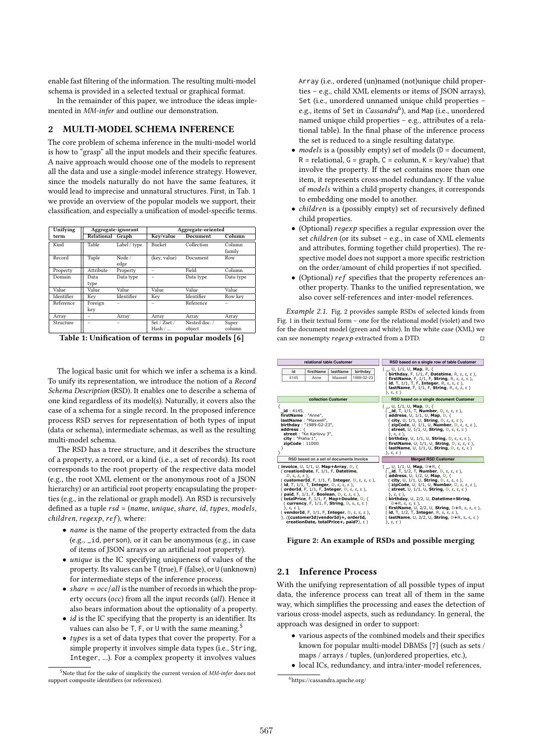enable fast filtering of the information. The resulting multi-model schema is provided in a selected textual or graphical format.

In the remainder of this paper, we introduce the ideas implemented in MM-infer and outline our demonstration.

# 2 MULTI-MODEL SCHEMA INFERENCE

The core problem of schema inference in the multi-model world is how to "grasp" all the input models and their specific features. A naive approach would choose one of the models to represent all the data and use a single-model inference strategy. However, since the models naturally do not have the same features, it would lead to imprecise and unnatural structures. First, in Tab. 1 we provide an overview of the popular models we support, their classification, and especially a unification of model-specific terms.

| Unifying   | Aggregate-ignorant |                | Aggregate-oriented       |                         |                  |
|------------|--------------------|----------------|--------------------------|-------------------------|------------------|
| term       | Relational Graph   |                | Key/value                | Document                | Column           |
| Kind       | Table              | Label / type   | Bucket                   | Collection              | Column<br>family |
| Record     | Tuple              | Node /<br>edge | (key, value)             | Document                | Row              |
| Property   | Attribute          | Property       |                          | Field                   | Column           |
| Domain     | Data<br>type       | Data type      |                          | Data type               | Data type        |
| Value      | Value              | Value          | Value                    | Value                   | Value            |
| Identifier | Key                | Identifier     | Key                      | Identifier              | Row key          |
| Reference  | Foreign<br>key     |                |                          | Reference               |                  |
| Array      |                    | Array          | Array                    | Array                   | Array            |
| Structure  |                    |                | Set / Zset /<br>Hash $/$ | Nested doc. /<br>object | Super<br>column  |
|            |                    |                |                          |                         |                  |

Table 1: Unification of terms in popular models [6]

The logical basic unit for which we infer a schema is a kind. To unify its representation, we introduce the notion of a Record Schema Description (RSD). It enables one to describe a schema of one kind regardless of its model(s). Naturally, it covers also the case of a schema for a single record. In the proposed inference process RSD serves for representation of both types of input (data or schema), intermediate schemas, as well as the resulting multi-model schema. **firstName** lastName birthday<br> **firstName** birthday<br> **firstName** birthday<br> **firstName** birthday<br> *firstName* lastName birthday<br> *firstName* lastName birthday<br> *firstName* lastName birthday<br> *firstName* lastName bir

The RSD has a tree structure, and it describes the structure of a property, a record, or a kind (i.e., a set of records). Its root corresponds to the root property of the respective data model (e.g., the root XML element or the anonymous root of a JSON hierarchy) or an artificial root property encapsulating the properties (e.g., in the relational or graph model). An RSD is recursively defined as a tuple  $rsd = (name, unique, share, id, types, models,$  $children, regexp, ref),$  where:

- *name* is the name of the property extracted from the data (e.g., \_id, person), or it can be anonymous (e.g., in case of items of JSON arrays or an artificial root property).
- $\bullet$  *unique* is the IC specifying uniqueness of values of the property. Its values can be T (true), F (false), or U (unknown) for intermediate steps of the inference process.
- share =  $\frac{\partial c}{\partial l}$  is the number of records in which the property occurs (occ) from all the input records (all). Hence it also bears information about the optionality of a property.
- $\bullet$  *id* is the IC specifying that the property is an identifier. Its values can also be  $T$ ,  $F$ , or  $U$  with the same meaning.<sup>5</sup>
- $\bullet$  types is a set of data types that cover the property. For a simple property it involves simple data types (i.e., String, Integer, ...). For a complex property it involves values

 $5$ Note that for the sake of simplicity the current version of  $MM$ -infer does not support composite identifiers (or references).

Array (i.e., ordered (un)named (not)unique child properties – e.g., child XML elements or items of JSON arrays), Set (i.e., unordered unnamed unique child properties – e.g., items of Set in *Cassandra*<sup>6</sup>), and Map (i.e., unordered named unique child properties – e.g., attributes of a relational table). In the final phase of the inference process the set is reduced to a single resulting datatype.

- models is a (possibly empty) set of models ( $D = document$ ,  $R =$  relational,  $G =$  graph,  $C =$  column,  $K =$  key/value) that involve the property. If the set contains more than one item, it represents cross-model redundancy. If the value of models within a child property changes, it corresponds to embedding one model to another.
- *children* is a (possibly empty) set of recursively defined child properties.
- (Optional)  $regexp$  specifies a regular expression over the set  $children$  (or its subset – e.g., in case of XML elements and attributes, forming together child properties). The respective model does not support a more specific restriction on the order/amount of child properties if not specified.
- $\bullet$  (Optional)  $ref$  specifies that the property references another property. Thanks to the unified representation, we also cover self-references and inter-model references.

Example 2.1. Fig. 2 provides sample RSDs of selected kinds from Fig. 1 in their textual form – one for the relational model (violet) and two for the document model (green and white). In the white case (XML) we can see nonempty  $regexp$  extracted from a DTD.  $\Box$ 

| relational table Customer                                                                                                                                                                                                                                                                                                                                                                                                                                                                                                                                                                                                                                          | RSD based on a single row of table Customer                                                                                                                                                                                                                                                                                                                                                                                                                                                                                                                                                                                                                          |  |  |
|--------------------------------------------------------------------------------------------------------------------------------------------------------------------------------------------------------------------------------------------------------------------------------------------------------------------------------------------------------------------------------------------------------------------------------------------------------------------------------------------------------------------------------------------------------------------------------------------------------------------------------------------------------------------|----------------------------------------------------------------------------------------------------------------------------------------------------------------------------------------------------------------------------------------------------------------------------------------------------------------------------------------------------------------------------------------------------------------------------------------------------------------------------------------------------------------------------------------------------------------------------------------------------------------------------------------------------------------------|--|--|
| firstName<br>birthdav<br>lastName<br>id<br>Maxwell<br>1989-02-23<br>4145<br>Anne                                                                                                                                                                                                                                                                                                                                                                                                                                                                                                                                                                                   | ( _, U, 1/1, U, <b>Map</b> , <b>R</b> , {<br>( birthday, F, 1/1, F, Datetime, R, ε, ε, ε),<br>(firstName, F, 1/1, F, String, R, $\varepsilon$ , $\varepsilon$ , $\varepsilon$ ),<br>( <b>id</b> , Τ, 1/1, Τ, F, <b>Integer</b> , <b>R,</b> ε, ε, ε ),<br>(lastName, F, 1/1, F, String, R, ε, ε, ε)<br>}, ε, ε)                                                                                                                                                                                                                                                                                                                                                       |  |  |
| collection Customer                                                                                                                                                                                                                                                                                                                                                                                                                                                                                                                                                                                                                                                | RSD based on a single document Customer                                                                                                                                                                                                                                                                                                                                                                                                                                                                                                                                                                                                                              |  |  |
| ₹<br><b>id</b> : 4145.<br>firstName: "Anne",<br>lastName: "Maxwell",<br>birthday: "1989-02-23",<br>address:<br>street: "Ke Karlovu 3",<br>city: "Praha 1",<br>zipCode:11000                                                                                                                                                                                                                                                                                                                                                                                                                                                                                        | $($ _, U, 1/1, U, <b>Map</b> , <b>D</b> , $\{$<br>( _ <b>id</b> , T, 1/1, T, <b>Number</b> , <b>D</b> , ε, ε, ε),<br>(address, U, 1/1, U, Map, D, $\{$<br>( city, U, 1/1, U, String, D, ε, ε, ε ),<br>( zipCode, U, 1/1, U, Number, D, ε, ε, ε),<br>( street, U, 1/1, U, String, D, ε, ε, ε)<br>}, ε, ε ),<br>( birthday, U, 1/1, U, String, D, ε, ε, ε),<br>( firstName, U, 1/1, U, String, D, ε, ε, ε ),<br>lastName, U, $1/1$ , U, String, D, $\varepsilon$ , $\varepsilon$ , $\varepsilon$ )<br>}, ε, ε)                                                                                                                                                         |  |  |
| RSD based on a set of documents Invoice                                                                                                                                                                                                                                                                                                                                                                                                                                                                                                                                                                                                                            | <b>Merged RSD Customer</b>                                                                                                                                                                                                                                                                                                                                                                                                                                                                                                                                                                                                                                           |  |  |
| (invoice, U, $1/1$ , U, Map+Array, D, $\{$<br>(creationDate, F, 1/1, F, Datetime,<br>$D, \varepsilon, \varepsilon, \varepsilon$ ).<br>( customerId, F, 1/1, F, Integer, D, ε, ε, ε),<br>(id, T, 1/1, T, Integer, D, ε, ε, ε),<br>(orderId, F, 1/1, F, Integer, D, ε, ε, ε),<br>$(paid, F, 1/1, F, Boolean, D, \varepsilon, \varepsilon)$ ,<br>( totalPrice, F, 1/1, F, Map+Double, D, {<br>(currency, F, $1/1$ , F, String, D, $\varepsilon$ , $\varepsilon$ , $\varepsilon$ )<br>}, ε, ε),<br>(vendorId, F, 1/1, F, Integer, D, $\varepsilon$ , $\varepsilon$ , $\varepsilon$ ),<br>), ((customerId vendorId)+, orderId,<br>creationDate, totalPrice+, paid?), ε) | ( _, U, 1/1, U, <b>Map</b> , <b>D+R</b> , {<br>( _id, T, 1/2, T, Number, D, ε, ε, ε),<br>(address, U, 1/2, U, Map, D, {<br>$($ city, $\cup$ , $1/1$ , $\cup$ , String, $D$ , $\varepsilon$ , $\varepsilon$ , $\varepsilon$ ),<br>(zipCode, U, 1/1, U, Number, D, ε, ε, ε),<br>( street, U, 1/1, U, String, D, ε, ε, ε)<br>}, ε, ε ),<br>(birthday, U, 2/2, U, Datetime+String,<br>$D+R, \varepsilon, \varepsilon, \varepsilon$ ),<br>(firstName, U, 2/2, U, String, D+R, $\varepsilon$ , $\varepsilon$ , $\varepsilon$ ),<br>(id, T, 1/2, T, Integer, R, ε, ε, ε),<br>(lastName, U, 2/2, U, String, D+R, $\varepsilon$ , $\varepsilon$ , $\varepsilon$ )<br>}, ε, ε) |  |  |

Figure 2: An example of RSDs and possible merging

### 2.1 Inference Process

With the unifying representation of all possible types of input data, the inference process can treat all of them in the same way, which simplifies the processing and eases the detection of various cross-model aspects, such as redundancy. In general, the approach was designed in order to support:

- various aspects of the combined models and their specifics known for popular multi-model DBMSs [7] (such as sets / maps / arrays / tuples, (un)ordered properties, etc.),
- local ICs, redundancy, and intra/inter-model references,

<sup>6</sup>https://cassandra.apache.org/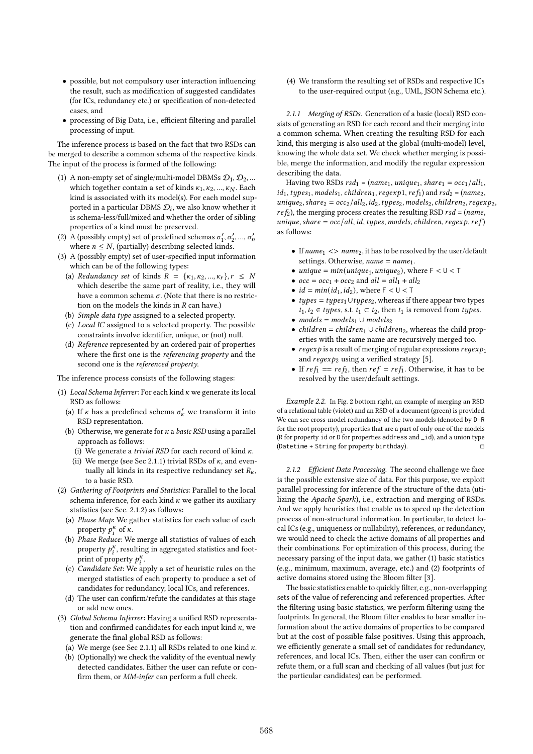- possible, but not compulsory user interaction influencing the result, such as modification of suggested candidates (for ICs, redundancy etc.) or specification of non-detected cases, and
- processing of Big Data, i.e., efficient filtering and parallel processing of input.

The inference process is based on the fact that two RSDs can be merged to describe a common schema of the respective kinds. The input of the process is formed of the following:

- (1) A non-empty set of single/multi-model DBMSs  $\mathcal{D}_1, \mathcal{D}_2, ...$ which together contain a set of kinds  $\kappa_1, \kappa_2, ..., \kappa_N$ . Each kind is associated with its model(s). For each model supported in a particular DBMS  $\mathcal{D}_i$ , we also know whether it is schema-less/full/mixed and whether the order of sibling properties of a kind must be preserved.
- (2) A (possibly empty) set of predefined schemas  $\sigma'_1, \sigma'_2, ..., \sigma'_n$ where  $n \leq N$ , (partially) describing selected kinds.
- (3) A (possibly empty) set of user-specified input information which can be of the following types:
	- (a) Redundancy set of kinds  $R = \{k_1, k_2, ..., k_r\}, r \leq N$ which describe the same part of reality, i.e., they will have a common schema  $\sigma$ . (Note that there is no restriction on the models the kinds in  $R$  can have.)
	- (b) Simple data type assigned to a selected property.
	- (c) Local IC assigned to a selected property. The possible constraints involve identifier, unique, or (not) null.
	- (d) Reference represented by an ordered pair of properties where the first one is the referencing property and the second one is the referenced property.

The inference process consists of the following stages:

- (1) Local Schema Inferrer: For each kind  $\kappa$  we generate its local RSD as follows:
	- (a) If  $\kappa$  has a predefined schema  $\sigma'_{\kappa}$  we transform it into RSD representation.
	- (b) Otherwise, we generate for  $\kappa$  a *basic RSD* using a parallel approach as follows:
		- (i) We generate a trivial RSD for each record of kind  $\kappa$ .
		- (ii) We merge (see Sec 2.1.1) trivial RSDs of  $\kappa$ , and eventually all kinds in its respective redundancy set  $R_{\kappa}$ , to a basic RSD.
- (2) Gathering of Footprints and Statistics: Parallel to the local schema inference, for each kind  $\kappa$  we gather its auxiliary statistics (see Sec. 2.1.2) as follows:
	- (a) Phase Map: We gather statistics for each value of each property  $p_i^k$  of  $\kappa$ .
	- (b) Phase Reduce: We merge all statistics of values of each property  $p_i^{\kappa}$ , resulting in aggregated statistics and footprint of property  $p_i^k$ .
	- (c) Candidate Set: We apply a set of heuristic rules on the merged statistics of each property to produce a set of candidates for redundancy, local ICs, and references.
	- (d) The user can confirm/refute the candidates at this stage or add new ones.
- (3) Global Schema Inferrer: Having a unified RSD representation and confirmed candidates for each input kind  $\kappa$ , we generate the final global RSD as follows:
	- (a) We merge (see Sec 2.1.1) all RSDs related to one kind  $\kappa$ .
	- (b) (Optionally) we check the validity of the eventual newly detected candidates. Either the user can refute or confirm them, or MM-infer can perform a full check.

(4) We transform the resulting set of RSDs and respective ICs to the user-required output (e.g., UML, JSON Schema etc.).

2.1.1 Merging of RSDs. Generation of a basic (local) RSD consists of generating an RSD for each record and their merging into a common schema. When creating the resulting RSD for each kind, this merging is also used at the global (multi-model) level, knowing the whole data set. We check whether merging is possible, merge the information, and modify the regular expression describing the data.

Having two RSDs  $rsd_1 = (name_1, unique_1, share_1 = occ_1/all_1,$  $id_1$ , types<sub>1</sub>, models<sub>1</sub>, children<sub>1</sub>, regexp1, ref<sub>1</sub>) and rsd<sub>2</sub> = (name<sub>2</sub>,  $unique_2, share_2 = occ_2/all_2, id_2, types_2, models_2, children_2, regexp_2,$  $ref_2$ ), the merging process creates the resulting RSD  $rsd = (name,$ unique, share =  $\frac{1}{\text{occ}}$  / all, id, types, models, children, regexp, ref) as follows:

- If  $name_1$  <>  $name_2$ , it has to be resolved by the user/default settings. Otherwise,  $name = name_1$ .
- unique =  $min(unique_1, unique_2)$ , where  $F < U < T$
- $occ = occ_1 + occ_2$  and  $all = all_1 + all_2$
- $id = min(id_1, id_2)$ , where  $F < U < T$
- $types = types_1 \cup types_2$ , whereas if there appear two types  $t_1, t_2 \in types$ , s.t.  $t_1 \subset t_2$ , then  $t_1$  is removed from types.
- models =  $models_1 \cup models_2$
- *children* = *children*<sub>1</sub>  $\cup$  *children*<sub>2</sub>, whereas the child properties with the same name are recursively merged too.
- regexp is a result of merging of regular expressions regexp and  $regexp<sub>2</sub>$  using a verified strategy [5].
- If  $ref_1 == ref_2$ , then  $ref = ref_1$ . Otherwise, it has to be resolved by the user/default settings.

Example 2.2. In Fig. 2 bottom right, an example of merging an RSD of a relational table (violet) and an RSD of a document (green) is provided. We can see cross-model redundancy of the two models (denoted by D+R for the root property), properties that are a part of only one of the models (R for property id or D for properties address and \_id), and a union type (Datetime + String for property birthday).  $\square$ 

2.1.2 Efficient Data Processing. The second challenge we face is the possible extensive size of data. For this purpose, we exploit parallel processing for inference of the structure of the data (utilizing the Apache Spark), i.e., extraction and merging of RSDs. And we apply heuristics that enable us to speed up the detection process of non-structural information. In particular, to detect local ICs (e.g., uniqueness or nullability), references, or redundancy, we would need to check the active domains of all properties and their combinations. For optimization of this process, during the necessary parsing of the input data, we gather (1) basic statistics (e.g., minimum, maximum, average, etc.) and (2) footprints of active domains stored using the Bloom filter [3].

The basic statistics enable to quickly filter, e.g., non-overlapping sets of the value of referencing and referenced properties. After the filtering using basic statistics, we perform filtering using the footprints. In general, the Bloom filter enables to bear smaller information about the active domains of properties to be compared but at the cost of possible false positives. Using this approach, we efficiently generate a small set of candidates for redundancy, references, and local ICs. Then, either the user can confirm or refute them, or a full scan and checking of all values (but just for the particular candidates) can be performed.